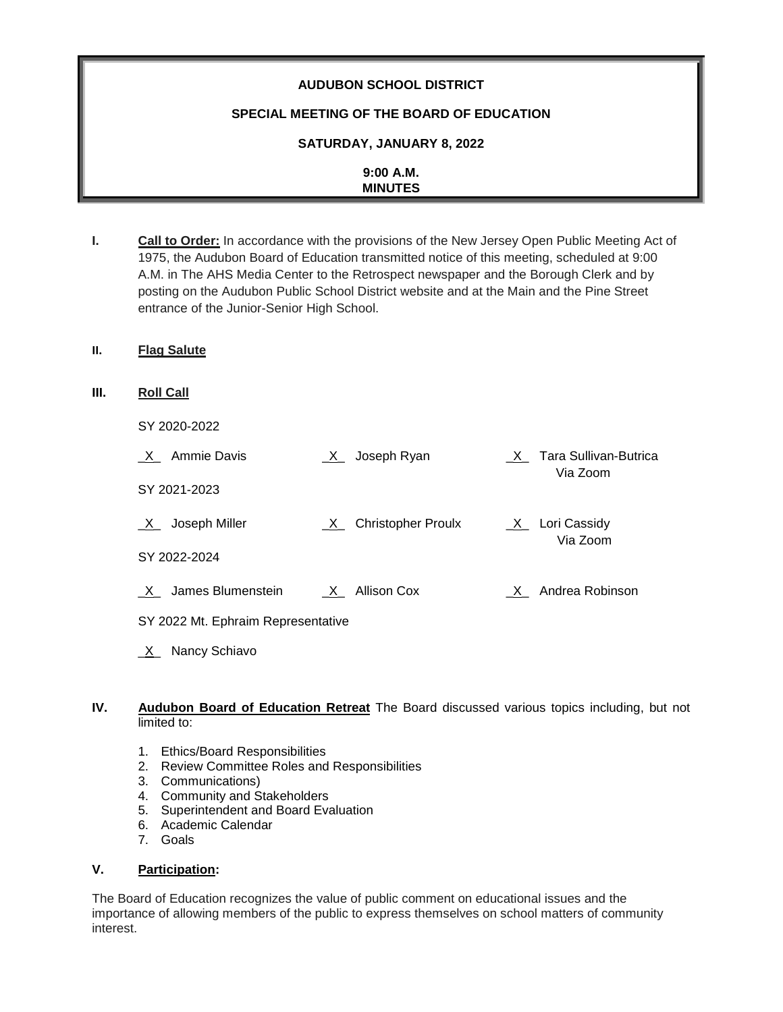# **AUDUBON SCHOOL DISTRICT**

## **SPECIAL MEETING OF THE BOARD OF EDUCATION**

### **SATURDAY, JANUARY 8, 2022**

| 9:00 A.M.      |
|----------------|
| <b>MINUTES</b> |
|                |

**I. Call to Order:** In accordance with the provisions of the New Jersey Open Public Meeting Act of 1975, the Audubon Board of Education transmitted notice of this meeting, scheduled at 9:00 A.M. in The AHS Media Center to the Retrospect newspaper and the Borough Clerk and by posting on the Audubon Public School District website and at the Main and the Pine Street entrance of the Junior-Senior High School.

#### **II. Flag Salute**

**III. Roll Call**

| SY 2020-2022                       |                                           |                                     |
|------------------------------------|-------------------------------------------|-------------------------------------|
| X Ammie Davis                      | $X$ Joseph Ryan                           | X Tara Sullivan-Butrica<br>Via Zoom |
| SY 2021-2023                       |                                           |                                     |
| Joseph Miller<br>$\mathsf{X}$      | <b>Christopher Proulx</b><br>$\mathsf{X}$ | $X_$ Lori Cassidy<br>Via Zoom       |
| SY 2022-2024                       |                                           |                                     |
| James Blumenstein<br>X             | $X_$ Allison Cox                          | X Andrea Robinson                   |
| SY 2022 Mt. Ephraim Representative |                                           |                                     |

#### **IV. Audubon Board of Education Retreat** The Board discussed various topics including, but not limited to:

- 1. Ethics/Board Responsibilities
- 2. Review Committee Roles and Responsibilities
- 3. Communications)

**X** Nancy Schiavo

- 4. Community and Stakeholders
- 5. Superintendent and Board Evaluation
- 6. Academic Calendar
- 7. Goals

#### **V. Participation:**

The Board of Education recognizes the value of public comment on educational issues and the importance of allowing members of the public to express themselves on school matters of community interest.